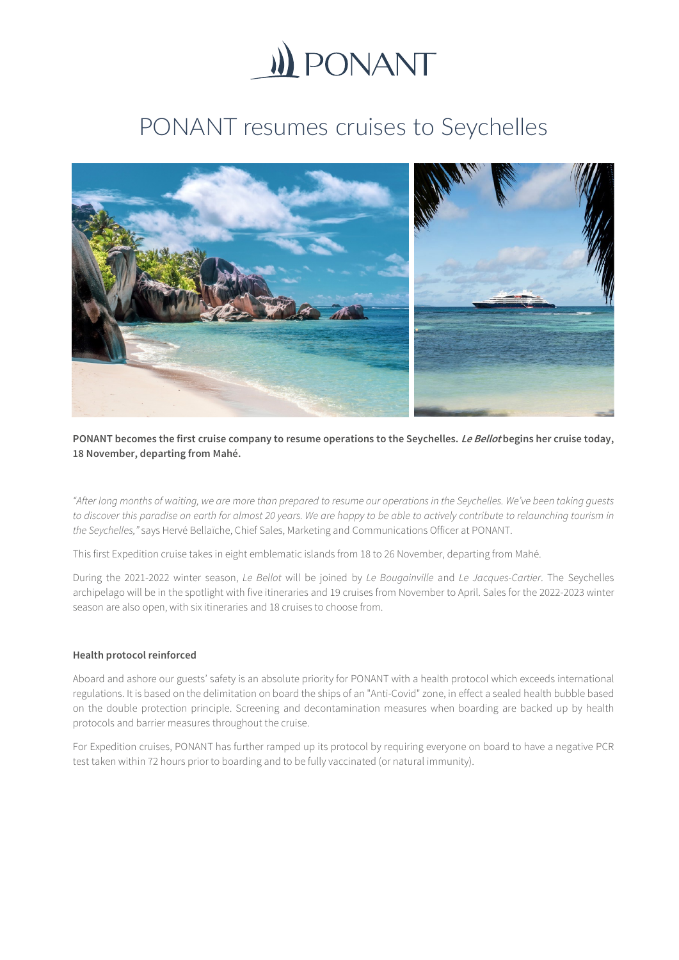

## PONANT resumes cruises to Seychelles



**PONANT becomes the first cruise company to resume operations to the Seychelles. Le Bellot begins her cruise today, 18 November, departing from Mahé.**

*"After long months of waiting, we are more than prepared to resume our operations in the Seychelles. We've been taking guests to discover this paradise on earth for almost 20 years. We are happy to be able to actively contribute to relaunching tourism in the Seychelles,"* says Hervé Bellaïche, Chief Sales, Marketing and Communications Officer at PONANT.

This first Expedition cruise takes in eight emblematic islands from 18 to 26 November, departing from Mahé.

During the 2021-2022 winter season, *Le Bellot* will be joined by *Le Bougainville* and *Le Jacques-Cartier*. The Seychelles archipelago will be in the spotlight with five itineraries and 19 cruises from November to April. Sales for the 2022-2023 winter season are also open, with six itineraries and 18 cruises to choose from.

## **Health protocol reinforced**

Aboard and ashore our guests' safety is an absolute priority for PONANT with a health protocol which exceeds international regulations. It is based on the delimitation on board the ships of an "Anti-Covid" zone, in effect a sealed health bubble based on the double protection principle. Screening and decontamination measures when boarding are backed up by health protocols and barrier measures throughout the cruise.

For Expedition cruises, PONANT has further ramped up its protocol by requiring everyone on board to have a negative PCR test taken within 72 hours prior to boarding and to be fully vaccinated (or natural immunity).